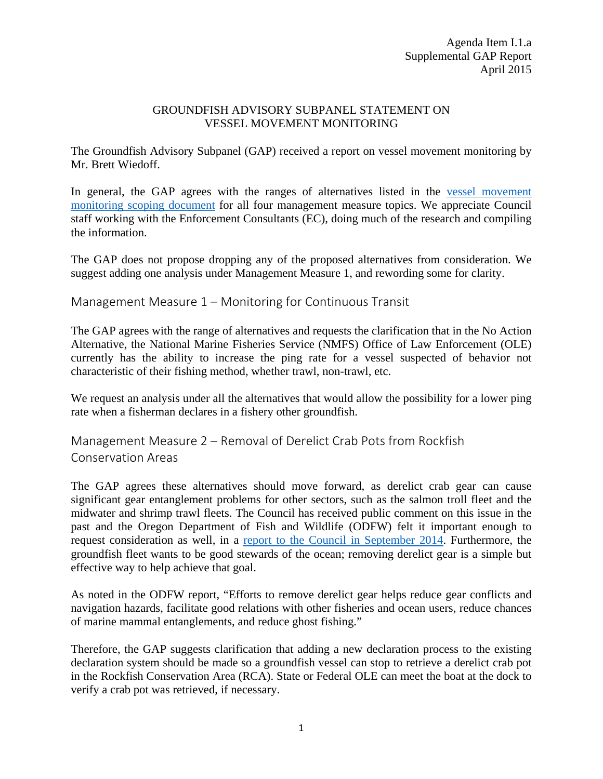## GROUNDFISH ADVISORY SUBPANEL STATEMENT ON VESSEL MOVEMENT MONITORING

The Groundfish Advisory Subpanel (GAP) received a report on vessel movement monitoring by Mr. Brett Wiedoff.

In general, the GAP agrees with the ranges of alternatives listed in the [vessel movement](http://www.pcouncil.org/wp-content/uploads/2015/03/I1a_VMM_ScopingDoc_APR2015BB.pdf)  [monitoring scoping document](http://www.pcouncil.org/wp-content/uploads/2015/03/I1a_VMM_ScopingDoc_APR2015BB.pdf) for all four management measure topics. We appreciate Council staff working with the Enforcement Consultants (EC), doing much of the research and compiling the information.

The GAP does not propose dropping any of the proposed alternatives from consideration. We suggest adding one analysis under Management Measure 1, and rewording some for clarity.

Management Measure 1 – Monitoring for Continuous Transit

The GAP agrees with the range of alternatives and requests the clarification that in the No Action Alternative, the National Marine Fisheries Service (NMFS) Office of Law Enforcement (OLE) currently has the ability to increase the ping rate for a vessel suspected of behavior not characteristic of their fishing method, whether trawl, non-trawl, etc.

We request an analysis under all the alternatives that would allow the possibility for a lower ping rate when a fisherman declares in a fishery other groundfish.

Management Measure 2 – Removal of Derelict Crab Pots from Rockfish Conservation Areas

The GAP agrees these alternatives should move forward, as derelict crab gear can cause significant gear entanglement problems for other sectors, such as the salmon troll fleet and the midwater and shrimp trawl fleets. The Council has received public comment on this issue in the past and the Oregon Department of Fish and Wildlife (ODFW) felt it important enough to request consideration as well, in a [report to the Council in September 2014.](http://www.pcouncil.org/wp-content/uploads/J1c_ODFW_Rpt_SEPT2014BB.pdf) Furthermore, the groundfish fleet wants to be good stewards of the ocean; removing derelict gear is a simple but effective way to help achieve that goal.

As noted in the ODFW report, "Efforts to remove derelict gear helps reduce gear conflicts and navigation hazards, facilitate good relations with other fisheries and ocean users, reduce chances of marine mammal entanglements, and reduce ghost fishing."

Therefore, the GAP suggests clarification that adding a new declaration process to the existing declaration system should be made so a groundfish vessel can stop to retrieve a derelict crab pot in the Rockfish Conservation Area (RCA). State or Federal OLE can meet the boat at the dock to verify a crab pot was retrieved, if necessary.